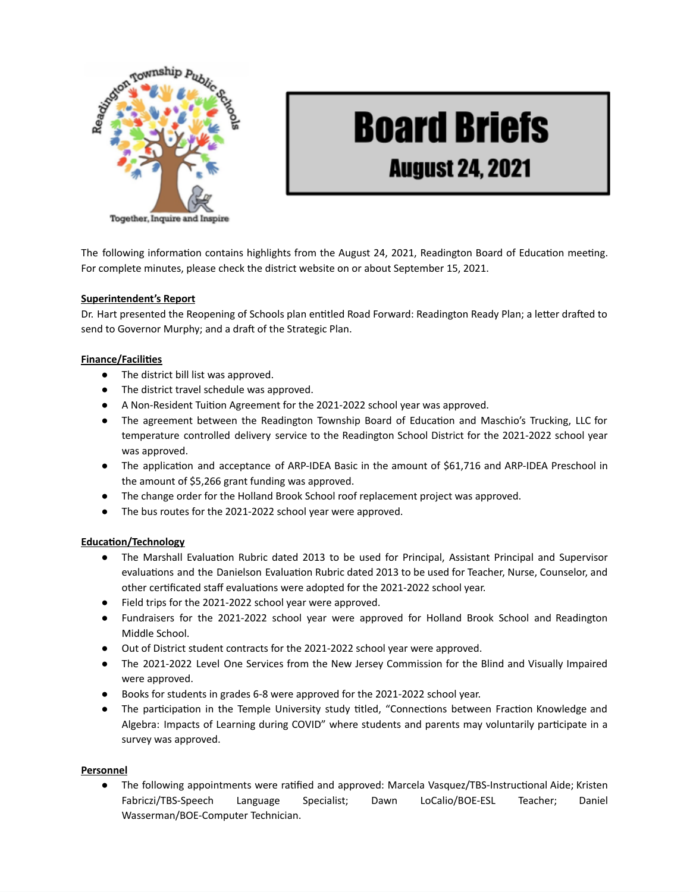

# **Board Briefs**

## **August 24, 2021**

The following information contains highlights from the August 24, 2021, Readington Board of Education meeting. For complete minutes, please check the district website on or about September 15, 2021.

### **Superintendent's Report**

Dr. Hart presented the Reopening of Schools plan entitled Road Forward: Readington Ready Plan; a letter drafted to send to Governor Murphy; and a draft of the Strategic Plan.

### **Finance/Facilities**

- The district bill list was approved.
- The district travel schedule was approved.
- A Non-Resident Tuition Agreement for the 2021-2022 school year was approved.
- The agreement between the Readington Township Board of Education and Maschio's Trucking, LLC for temperature controlled delivery service to the Readington School District for the 2021-2022 school year was approved.
- The application and acceptance of ARP-IDEA Basic in the amount of \$61,716 and ARP-IDEA Preschool in the amount of \$5,266 grant funding was approved.
- The change order for the Holland Brook School roof replacement project was approved.
- The bus routes for the 2021-2022 school year were approved.

### **Education/Technology**

- The Marshall Evaluation Rubric dated 2013 to be used for Principal, Assistant Principal and Supervisor evaluations and the Danielson Evaluation Rubric dated 2013 to be used for Teacher, Nurse, Counselor, and other certificated staff evaluations were adopted for the 2021-2022 school year.
- Field trips for the 2021-2022 school year were approved.
- Fundraisers for the 2021-2022 school year were approved for Holland Brook School and Readington Middle School.
- Out of District student contracts for the 2021-2022 school year were approved.
- The 2021-2022 Level One Services from the New Jersey Commission for the Blind and Visually Impaired were approved.
- Books for students in grades 6-8 were approved for the 2021-2022 school year.
- The participation in the Temple University study titled, "Connections between Fraction Knowledge and Algebra: Impacts of Learning during COVID" where students and parents may voluntarily participate in a survey was approved.

### **Personnel**

● The following appointments were ratified and approved: Marcela Vasquez/TBS-Instructional Aide; Kristen Fabriczi/TBS-Speech Language Specialist; Dawn LoCalio/BOE-ESL Teacher; Daniel Wasserman/BOE-Computer Technician.